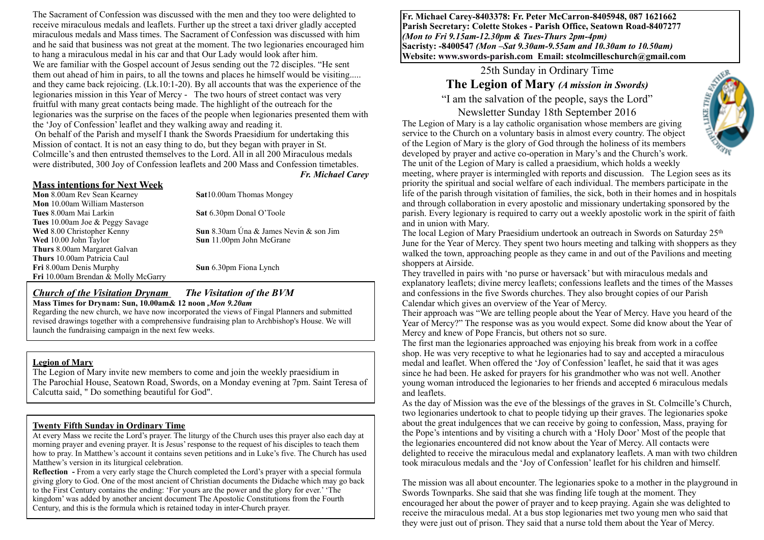The Sacrament of Confession was discussed with the men and they too were delighted to receive miraculous medals and leaflets. Further up the street a taxi driver gladly accepted miraculous medals and Mass times. The Sacrament of Confession was discussed with him and he said that business was not great at the moment. The two legionaries encouraged him to hang a miraculous medal in his car and that Our Lady would look after him. We are familiar with the Gospel account of Jesus sending out the 72 disciples. "He sent them out ahead of him in pairs, to all the towns and places he himself would be visiting..... and they came back rejoicing. (Lk.10:1-20). By all accounts that was the experience of the legionaries mission in this Year of Mercy - The two hours of street contact was very fruitful with many great contacts being made. The highlight of the outreach for the legionaries was the surprise on the faces of the people when legionaries presented them with the 'Joy of Confession' leaflet and they walking away and reading it. On behalf of the Parish and myself I thank the Swords Praesidium for undertaking this

Mission of contact. It is not an easy thing to do, but they began with prayer in St. Colmcille's and then entrusted themselves to the Lord. All in all 200 Miraculous medals were distributed, 300 Joy of Confession leaflets and 200 Mass and Confession timetables.

#### **Mass intentions for Next Week**

**Mon** 10.00am William Masterson

**Tues** 10.00am Joe & Peggy Savage

**Thurs** 8.00am Margaret Galvan **Thurs** 10.00am Patricia Caul

**Fri** 10.00am Brendan & Molly McGarry

**Mon** 8.00am Rev Sean Kearney **Sat** 10.00am Thomas Mongey

**Tues** 8.00am Mai Larkin **Sat** 6.30pm Donal O'Toole

**Wed** 8.00 Christopher Kenny **Sun** 8.30am Úna & James Nevin & son Jim **Wed** 10.00 John Taylor **Sun** 11.00pm John McGrane

*Fr. Michael Carey*

**Fri** 8.00am Denis Murphy **Sun** 6.30pm Fiona Lynch

#### *Church of the Visitation Drynam**The Visitation of the BVM* **Mass Times for Drynam: Sun, 10.00am& 12 noon** *,Mon 9.20am*

Regarding the new church, we have now incorporated the views of Fingal Planners and submitted revised drawings together with a comprehensive fundraising plan to Archbishop's House. We will launch the fundraising campaign in the next few weeks.

#### **Legion of Mary**

The Legion of Mary invite new members to come and join the weekly praesidium in The Parochial House, Seatown Road, Swords, on a Monday evening at 7pm. Saint Teresa of Calcutta said, " Do something beautiful for God".

#### **Twenty Fifth Sunday in Ordinary Time**

At every Mass we recite the Lord's prayer. The liturgy of the Church uses this prayer also each day at morning prayer and evening prayer. It is Jesus' response to the request of his disciples to teach them how to pray. In Matthew's account it contains seven petitions and in Luke's five. The Church has used Matthew's version in its liturgical celebration.

**Reflection -** From a very early stage the Church completed the Lord's prayer with a special formula giving glory to God. One of the most ancient of Christian documents the Didache which may go back to the First Century contains the ending: 'For yours are the power and the glory for ever.' 'The kingdom' was added by another ancient document The Apostolic Constitutions from the Fourth Century, and this is the formula which is retained today in inter-Church prayer.

**Fr. Michael Carey-8403378: Fr. Peter McCarron-8405948, 087 1621662 Parish Secretary: Colette Stokes - Parish Office, Seatown Road-8407277**  *(Mon to Fri 9.15am-12.30pm & Tues-Thurs 2pm-4pm)*  **Sacristy: -8400547** *(Mon –Sat 9.30am-9.55am and 10.30am to 10.50am)* **Website: [www.swords-parish.com Email:](http://www.swords-parish.com%20%20email) stcolmcilleschurch@gmail.com**

# 25th Sunday in Ordinary Time

# **The Legion of Mary** *(A mission in Swords)*

"I am the salvation of the people, says the Lord" Newsletter Sunday 18th September 2016

The Legion of Mary is a lay catholic organisation whose members are giving service to the Church on a voluntary basis in almost every country. The object of the Legion of Mary is the glory of God through the holiness of its members developed by prayer and active co-operation in Mary's and the Church's work.

The unit of the Legion of Mary is called a praesidium, which holds a weekly meeting, where prayer is intermingled with reports and discussion. The Legion sees as its priority the spiritual and social welfare of each individual. The members participate in the life of the parish through visitation of families, the sick, both in their homes and in hospitals and through collaboration in every apostolic and missionary undertaking sponsored by the parish. Every legionary is required to carry out a weekly apostolic work in the spirit of faith and in union with Mary.

The local Legion of Mary Praesidium undertook an outreach in Swords on Saturday 25<sup>th</sup> June for the Year of Mercy. They spent two hours meeting and talking with shoppers as they walked the town, approaching people as they came in and out of the Pavilions and meeting shoppers at Airside.

They travelled in pairs with 'no purse or haversack' but with miraculous medals and explanatory leaflets; divine mercy leaflets; confessions leaflets and the times of the Masses and confessions in the five Swords churches. They also brought copies of our Parish Calendar which gives an overview of the Year of Mercy.

Their approach was "We are telling people about the Year of Mercy. Have you heard of the Year of Mercy?" The response was as you would expect. Some did know about the Year of Mercy and knew of Pope Francis, but others not so sure.

The first man the legionaries approached was enjoying his break from work in a coffee shop. He was very receptive to what he legionaries had to say and accepted a miraculous medal and leaflet. When offered the 'Joy of Confession' leaflet, he said that it was ages since he had been. He asked for prayers for his grandmother who was not well. Another young woman introduced the legionaries to her friends and accepted 6 miraculous medals and leaflets.

As the day of Mission was the eve of the blessings of the graves in St. Colmcille's Church, two legionaries undertook to chat to people tidying up their graves. The legionaries spoke about the great indulgences that we can receive by going to confession, Mass, praying for the Pope's intentions and by visiting a church with a 'Holy Door' Most of the people that the legionaries encountered did not know about the Year of Mercy. All contacts were delighted to receive the miraculous medal and explanatory leaflets. A man with two children took miraculous medals and the 'Joy of Confession' leaflet for his children and himself.

The mission was all about encounter. The legionaries spoke to a mother in the playground in Swords Townparks. She said that she was finding life tough at the moment. They encouraged her about the power of prayer and to keep praying. Again she was delighted to receive the miraculous medal. At a bus stop legionaries met two young men who said that they were just out of prison. They said that a nurse told them about the Year of Mercy.